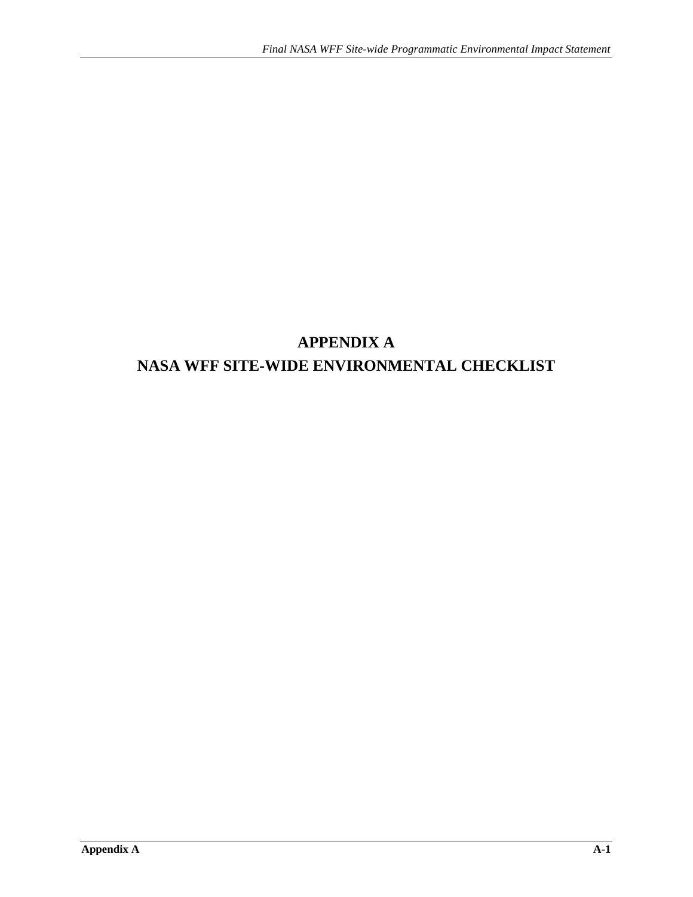# **APPENDIX A NASA WFF SITE-WIDE ENVIRONMENTAL CHECKLIST**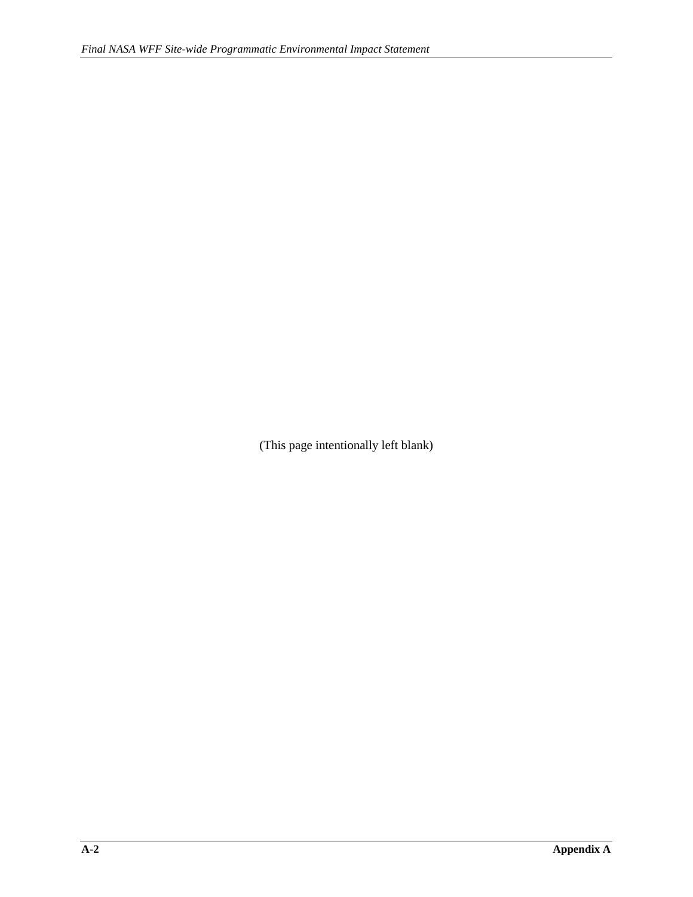(This page intentionally left blank)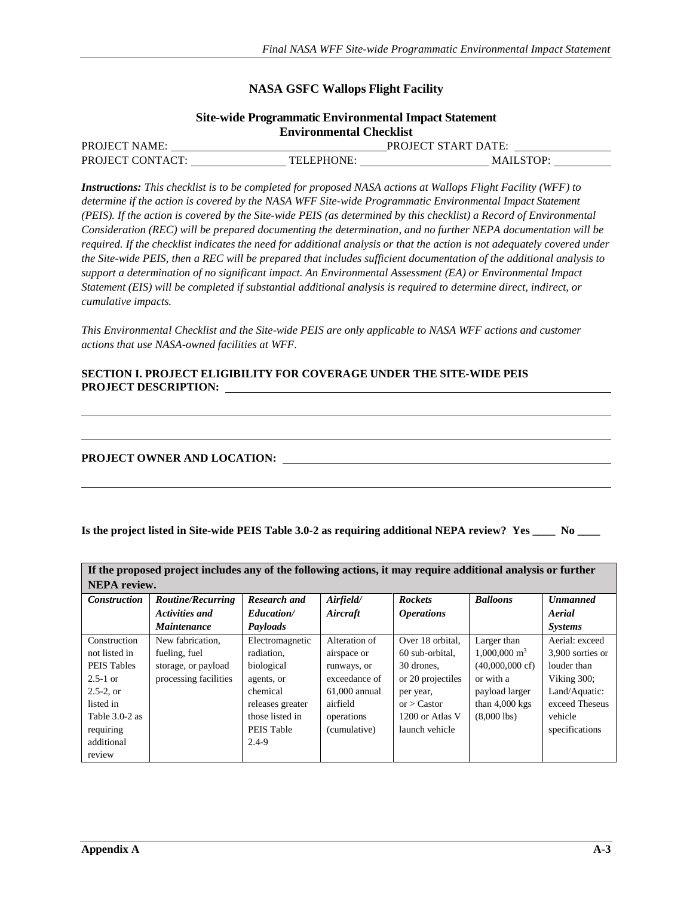# **NASA GSFC Wallops Flight Facility**

| Site-wide Programmatic Environmental Impact Statement |                            |           |  |  |  |  |  |  |
|-------------------------------------------------------|----------------------------|-----------|--|--|--|--|--|--|
| <b>Environmental Checklist</b>                        |                            |           |  |  |  |  |  |  |
| PROJECT NAME:                                         | <b>PROJECT START DATE:</b> |           |  |  |  |  |  |  |
| PROJECT CONTACT:                                      | TELEPHONE:                 | MAILSTOP: |  |  |  |  |  |  |

*Instructions: This checklist is to be completed for proposed NASA actions at Wallops Flight Facility (WFF) to determine if the action is covered by the NASA WFF Site-wide Programmatic Environmental Impact Statement (PEIS). If the action is covered by the Site-wide PEIS (as determined by this checklist) a Record of Environmental Consideration (REC) will be prepared documenting the determination, and no further NEPA documentation will be required. If the checklist indicates the need for additional analysis or that the action is not adequately covered under the Site-wide PEIS, then a REC will be prepared that includes sufficient documentation of the additional analysis to support a determination of no significant impact. An Environmental Assessment (EA) or Environmental Impact Statement (EIS) will be completed if substantial additional analysis is required to determine direct, indirect, or cumulative impacts.*

*This Environmental Checklist and the Site-wide PEIS are only applicable to NASA WFF actions and customer actions that use NASA-owned facilities at WFF.*

## **SECTION I. PROJECT ELIGIBILITY FOR COVERAGE UNDER THE SITE-WIDE PEIS PROJECT DESCRIPTION:**

### **PROJECT OWNER AND LOCATION:**

### **Is the project listed in Site-wide PEIS Table 3.0-2 as requiring additional NEPA review? Yes \_\_\_\_ No \_\_\_\_**

| If the proposed project includes any of the following actions, it may require additional analysis or further |                          |                     |                 |                          |                           |                  |  |  |
|--------------------------------------------------------------------------------------------------------------|--------------------------|---------------------|-----------------|--------------------------|---------------------------|------------------|--|--|
| <b>NEPA</b> review.                                                                                          |                          |                     |                 |                          |                           |                  |  |  |
| <b>Construction</b>                                                                                          | <b>Routine/Recurring</b> | <b>Research and</b> | Airfield/       | <b>Rockets</b>           | <b>Balloons</b>           | <b>Unmanned</b>  |  |  |
|                                                                                                              | Activities and           | <i>Education</i> /  | Aircraft        | <i><b>Operations</b></i> |                           | Aerial           |  |  |
|                                                                                                              | <i>Maintenance</i>       | Payloads            |                 |                          |                           | <b>Systems</b>   |  |  |
| Construction                                                                                                 | New fabrication.         | Electromagnetic     | Alteration of   | Over 18 orbital.         | Larger than               | Aerial: exceed   |  |  |
| not listed in                                                                                                | fueling, fuel            | radiation.          | airspace or     | 60 sub-orbital.          | $1.000,000 \text{ m}^3$   | 3,900 sorties or |  |  |
| <b>PEIS Tables</b>                                                                                           | storage, or payload      | biological          | runways, or     | 30 drones.               | $(40,000,000 \text{ cf})$ | louder than      |  |  |
| $2.5-1$ or                                                                                                   | processing facilities    | agents, or          | exceedance of   | or 20 projectiles        | or with a                 | Viking 300;      |  |  |
| $2.5 - 2$ , or                                                                                               |                          | chemical            | $61,000$ annual | per year,                | payload larger            | Land/Aquatic:    |  |  |
| listed in                                                                                                    |                          | releases greater    | airfield        | $or >$ Castor            | than $4,000$ kgs          | exceed Theseus   |  |  |
| Table 3.0-2 as                                                                                               |                          | those listed in     | operations      | 1200 or Atlas V          | $(8,000$ lbs)             | vehicle          |  |  |
| requiring                                                                                                    |                          | PEIS Table          | (cumulative)    | launch vehicle           |                           | specifications   |  |  |
| additional                                                                                                   |                          | $2.4 - 9$           |                 |                          |                           |                  |  |  |
| review                                                                                                       |                          |                     |                 |                          |                           |                  |  |  |